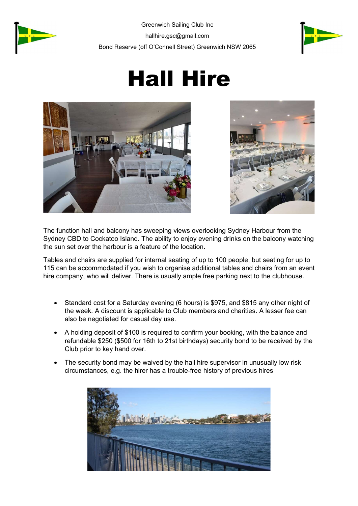



## Hall Hire





The function hall and balcony has sweeping views overlooking Sydney Harbour from the Sydney CBD to Cockatoo Island. The ability to enjoy evening drinks on the balcony watching the sun set over the harbour is a feature of the location.

Tables and chairs are supplied for internal seating of up to 100 people, but seating for up to 115 can be accommodated if you wish to organise additional tables and chairs from an event hire company, who will deliver. There is usually ample free parking next to the clubhouse.

- Standard cost for a Saturday evening (6 hours) is \$975, and \$815 any other night of the week. A discount is applicable to Club members and charities. A lesser fee can also be negotiated for casual day use.
- A holding deposit of \$100 is required to confirm your booking, with the balance and refundable \$250 (\$500 for 16th to 21st birthdays) security bond to be received by the Club prior to key hand over.
- The security bond may be waived by the hall hire supervisor in unusually low risk circumstances, e.g. the hirer has a trouble-free history of previous hires